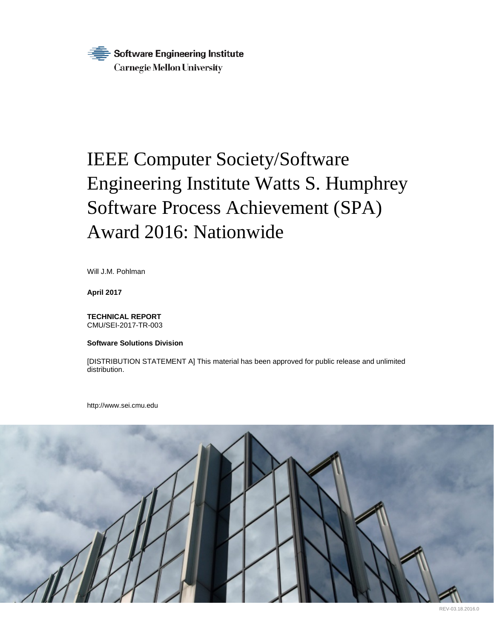

# IEEE Computer Society/Software Engineering Institute Watts S. Humphrey Software Process Achievement (SPA) Award 2016: Nationwide

Will J.M. Pohlman

**April 2017**

**TECHNICAL REPORT** CMU/SEI-2017-TR-003

**Software Solutions Division**

[DISTRIBUTION STATEMENT A] This material has been approved for public release and unlimited distribution.

http://www.sei.cmu.edu

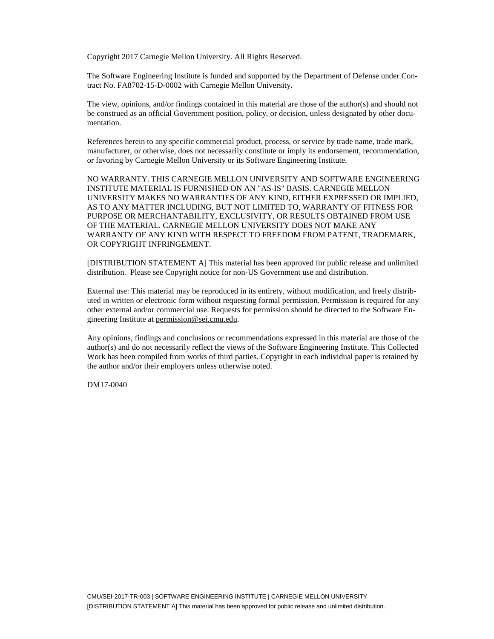Copyright 2017 Carnegie Mellon University. All Rights Reserved.

The Software Engineering Institute is funded and supported by the Department of Defense under Contract No. FA8702-15-D-0002 with Carnegie Mellon University.

The view, opinions, and/or findings contained in this material are those of the author(s) and should not be construed as an official Government position, policy, or decision, unless designated by other documentation.

References herein to any specific commercial product, process, or service by trade name, trade mark, manufacturer, or otherwise, does not necessarily constitute or imply its endorsement, recommendation, or favoring by Carnegie Mellon University or its Software Engineering Institute.

NO WARRANTY. THIS CARNEGIE MELLON UNIVERSITY AND SOFTWARE ENGINEERING INSTITUTE MATERIAL IS FURNISHED ON AN "AS-IS" BASIS. CARNEGIE MELLON UNIVERSITY MAKES NO WARRANTIES OF ANY KIND, EITHER EXPRESSED OR IMPLIED, AS TO ANY MATTER INCLUDING, BUT NOT LIMITED TO, WARRANTY OF FITNESS FOR PURPOSE OR MERCHANTABILITY, EXCLUSIVITY, OR RESULTS OBTAINED FROM USE OF THE MATERIAL. CARNEGIE MELLON UNIVERSITY DOES NOT MAKE ANY WARRANTY OF ANY KIND WITH RESPECT TO FREEDOM FROM PATENT, TRADEMARK, OR COPYRIGHT INFRINGEMENT.

[DISTRIBUTION STATEMENT A] This material has been approved for public release and unlimited distribution. Please see Copyright notice for non-US Government use and distribution.

External use: This material may be reproduced in its entirety, without modification, and freely distributed in written or electronic form without requesting formal permission. Permission is required for any other external and/or commercial use. Requests for permission should be directed to the Software Engineering Institute at [permission@sei.cmu.edu.](mailto:permission@sei.cmu.edu)

Any opinions, findings and conclusions or recommendations expressed in this material are those of the author(s) and do not necessarily reflect the views of the Software Engineering Institute. This Collected Work has been compiled from works of third parties. Copyright in each individual paper is retained by the author and/or their employers unless otherwise noted.

DM17-0040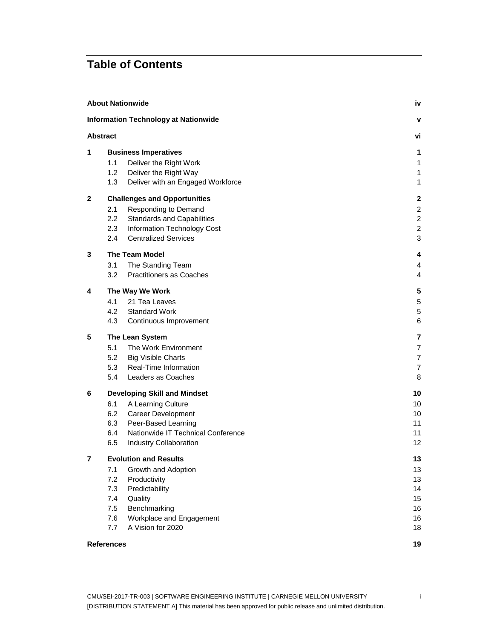## **Table of Contents**

| <b>Information Technology at Nationwide</b><br>v<br><b>Abstract</b><br>٧i<br>1<br><b>Business Imperatives</b><br>1<br>1.1<br>Deliver the Right Work<br>1<br>1.2<br>Deliver the Right Way<br>$\mathbf{1}$<br>1.3<br>Deliver with an Engaged Workforce<br>$\mathbf{1}$<br>2<br><b>Challenges and Opportunities</b><br>$\overline{2}$<br>$\overline{c}$<br>Responding to Demand<br>2.1<br>2.2<br><b>Standards and Capabilities</b><br>$\overline{c}$<br>$\overline{2}$<br>2.3<br>Information Technology Cost<br><b>Centralized Services</b><br>$\mathbf{3}$<br>$2.4^{\circ}$<br>3<br>The Team Model<br>4<br>3.1<br>The Standing Team<br>$\overline{4}$<br>Practitioners as Coaches<br>3.2<br>$\overline{4}$<br>4<br>The Way We Work<br>5<br>4.1<br>21 Tea Leaves<br>$\,$ 5 $\,$<br>4.2<br><b>Standard Work</b><br>5<br>4.3<br>6<br>Continuous Improvement<br>5<br>The Lean System<br>7<br>5.1<br>The Work Environment<br>$\overline{7}$<br>5.2<br>$\overline{7}$<br><b>Big Visible Charts</b><br>Real-Time Information<br>$\overline{7}$<br>5.3<br>Leaders as Coaches<br>5.4<br>8<br>10<br>6<br><b>Developing Skill and Mindset</b><br>6.1<br>A Learning Culture<br>10<br>6.2<br><b>Career Development</b><br>10<br>6.3<br>Peer-Based Learning<br>11<br>Nationwide IT Technical Conference<br>6.4<br>11<br>6.5<br><b>Industry Collaboration</b><br>12<br>7<br><b>Evolution and Results</b><br>13 |
|-----------------------------------------------------------------------------------------------------------------------------------------------------------------------------------------------------------------------------------------------------------------------------------------------------------------------------------------------------------------------------------------------------------------------------------------------------------------------------------------------------------------------------------------------------------------------------------------------------------------------------------------------------------------------------------------------------------------------------------------------------------------------------------------------------------------------------------------------------------------------------------------------------------------------------------------------------------------------------------------------------------------------------------------------------------------------------------------------------------------------------------------------------------------------------------------------------------------------------------------------------------------------------------------------------------------------------------------------------------------------------------------------|
|                                                                                                                                                                                                                                                                                                                                                                                                                                                                                                                                                                                                                                                                                                                                                                                                                                                                                                                                                                                                                                                                                                                                                                                                                                                                                                                                                                                               |
|                                                                                                                                                                                                                                                                                                                                                                                                                                                                                                                                                                                                                                                                                                                                                                                                                                                                                                                                                                                                                                                                                                                                                                                                                                                                                                                                                                                               |
|                                                                                                                                                                                                                                                                                                                                                                                                                                                                                                                                                                                                                                                                                                                                                                                                                                                                                                                                                                                                                                                                                                                                                                                                                                                                                                                                                                                               |
|                                                                                                                                                                                                                                                                                                                                                                                                                                                                                                                                                                                                                                                                                                                                                                                                                                                                                                                                                                                                                                                                                                                                                                                                                                                                                                                                                                                               |
|                                                                                                                                                                                                                                                                                                                                                                                                                                                                                                                                                                                                                                                                                                                                                                                                                                                                                                                                                                                                                                                                                                                                                                                                                                                                                                                                                                                               |
|                                                                                                                                                                                                                                                                                                                                                                                                                                                                                                                                                                                                                                                                                                                                                                                                                                                                                                                                                                                                                                                                                                                                                                                                                                                                                                                                                                                               |
|                                                                                                                                                                                                                                                                                                                                                                                                                                                                                                                                                                                                                                                                                                                                                                                                                                                                                                                                                                                                                                                                                                                                                                                                                                                                                                                                                                                               |
|                                                                                                                                                                                                                                                                                                                                                                                                                                                                                                                                                                                                                                                                                                                                                                                                                                                                                                                                                                                                                                                                                                                                                                                                                                                                                                                                                                                               |
|                                                                                                                                                                                                                                                                                                                                                                                                                                                                                                                                                                                                                                                                                                                                                                                                                                                                                                                                                                                                                                                                                                                                                                                                                                                                                                                                                                                               |
|                                                                                                                                                                                                                                                                                                                                                                                                                                                                                                                                                                                                                                                                                                                                                                                                                                                                                                                                                                                                                                                                                                                                                                                                                                                                                                                                                                                               |
|                                                                                                                                                                                                                                                                                                                                                                                                                                                                                                                                                                                                                                                                                                                                                                                                                                                                                                                                                                                                                                                                                                                                                                                                                                                                                                                                                                                               |
|                                                                                                                                                                                                                                                                                                                                                                                                                                                                                                                                                                                                                                                                                                                                                                                                                                                                                                                                                                                                                                                                                                                                                                                                                                                                                                                                                                                               |
|                                                                                                                                                                                                                                                                                                                                                                                                                                                                                                                                                                                                                                                                                                                                                                                                                                                                                                                                                                                                                                                                                                                                                                                                                                                                                                                                                                                               |
|                                                                                                                                                                                                                                                                                                                                                                                                                                                                                                                                                                                                                                                                                                                                                                                                                                                                                                                                                                                                                                                                                                                                                                                                                                                                                                                                                                                               |
|                                                                                                                                                                                                                                                                                                                                                                                                                                                                                                                                                                                                                                                                                                                                                                                                                                                                                                                                                                                                                                                                                                                                                                                                                                                                                                                                                                                               |
|                                                                                                                                                                                                                                                                                                                                                                                                                                                                                                                                                                                                                                                                                                                                                                                                                                                                                                                                                                                                                                                                                                                                                                                                                                                                                                                                                                                               |
|                                                                                                                                                                                                                                                                                                                                                                                                                                                                                                                                                                                                                                                                                                                                                                                                                                                                                                                                                                                                                                                                                                                                                                                                                                                                                                                                                                                               |
|                                                                                                                                                                                                                                                                                                                                                                                                                                                                                                                                                                                                                                                                                                                                                                                                                                                                                                                                                                                                                                                                                                                                                                                                                                                                                                                                                                                               |
|                                                                                                                                                                                                                                                                                                                                                                                                                                                                                                                                                                                                                                                                                                                                                                                                                                                                                                                                                                                                                                                                                                                                                                                                                                                                                                                                                                                               |
|                                                                                                                                                                                                                                                                                                                                                                                                                                                                                                                                                                                                                                                                                                                                                                                                                                                                                                                                                                                                                                                                                                                                                                                                                                                                                                                                                                                               |
|                                                                                                                                                                                                                                                                                                                                                                                                                                                                                                                                                                                                                                                                                                                                                                                                                                                                                                                                                                                                                                                                                                                                                                                                                                                                                                                                                                                               |
|                                                                                                                                                                                                                                                                                                                                                                                                                                                                                                                                                                                                                                                                                                                                                                                                                                                                                                                                                                                                                                                                                                                                                                                                                                                                                                                                                                                               |
|                                                                                                                                                                                                                                                                                                                                                                                                                                                                                                                                                                                                                                                                                                                                                                                                                                                                                                                                                                                                                                                                                                                                                                                                                                                                                                                                                                                               |
|                                                                                                                                                                                                                                                                                                                                                                                                                                                                                                                                                                                                                                                                                                                                                                                                                                                                                                                                                                                                                                                                                                                                                                                                                                                                                                                                                                                               |
|                                                                                                                                                                                                                                                                                                                                                                                                                                                                                                                                                                                                                                                                                                                                                                                                                                                                                                                                                                                                                                                                                                                                                                                                                                                                                                                                                                                               |
|                                                                                                                                                                                                                                                                                                                                                                                                                                                                                                                                                                                                                                                                                                                                                                                                                                                                                                                                                                                                                                                                                                                                                                                                                                                                                                                                                                                               |
|                                                                                                                                                                                                                                                                                                                                                                                                                                                                                                                                                                                                                                                                                                                                                                                                                                                                                                                                                                                                                                                                                                                                                                                                                                                                                                                                                                                               |
|                                                                                                                                                                                                                                                                                                                                                                                                                                                                                                                                                                                                                                                                                                                                                                                                                                                                                                                                                                                                                                                                                                                                                                                                                                                                                                                                                                                               |
|                                                                                                                                                                                                                                                                                                                                                                                                                                                                                                                                                                                                                                                                                                                                                                                                                                                                                                                                                                                                                                                                                                                                                                                                                                                                                                                                                                                               |
|                                                                                                                                                                                                                                                                                                                                                                                                                                                                                                                                                                                                                                                                                                                                                                                                                                                                                                                                                                                                                                                                                                                                                                                                                                                                                                                                                                                               |
| Growth and Adoption<br>13<br>7.1                                                                                                                                                                                                                                                                                                                                                                                                                                                                                                                                                                                                                                                                                                                                                                                                                                                                                                                                                                                                                                                                                                                                                                                                                                                                                                                                                              |
| 7.2<br>Productivity<br>13                                                                                                                                                                                                                                                                                                                                                                                                                                                                                                                                                                                                                                                                                                                                                                                                                                                                                                                                                                                                                                                                                                                                                                                                                                                                                                                                                                     |
| Predictability<br>7.3<br>14<br>7.4<br>Quality<br>15                                                                                                                                                                                                                                                                                                                                                                                                                                                                                                                                                                                                                                                                                                                                                                                                                                                                                                                                                                                                                                                                                                                                                                                                                                                                                                                                           |
| Benchmarking<br>7.5<br>16                                                                                                                                                                                                                                                                                                                                                                                                                                                                                                                                                                                                                                                                                                                                                                                                                                                                                                                                                                                                                                                                                                                                                                                                                                                                                                                                                                     |
| Workplace and Engagement<br>7.6<br>16                                                                                                                                                                                                                                                                                                                                                                                                                                                                                                                                                                                                                                                                                                                                                                                                                                                                                                                                                                                                                                                                                                                                                                                                                                                                                                                                                         |
| A Vision for 2020<br>7.7<br>18                                                                                                                                                                                                                                                                                                                                                                                                                                                                                                                                                                                                                                                                                                                                                                                                                                                                                                                                                                                                                                                                                                                                                                                                                                                                                                                                                                |
| 19<br><b>References</b>                                                                                                                                                                                                                                                                                                                                                                                                                                                                                                                                                                                                                                                                                                                                                                                                                                                                                                                                                                                                                                                                                                                                                                                                                                                                                                                                                                       |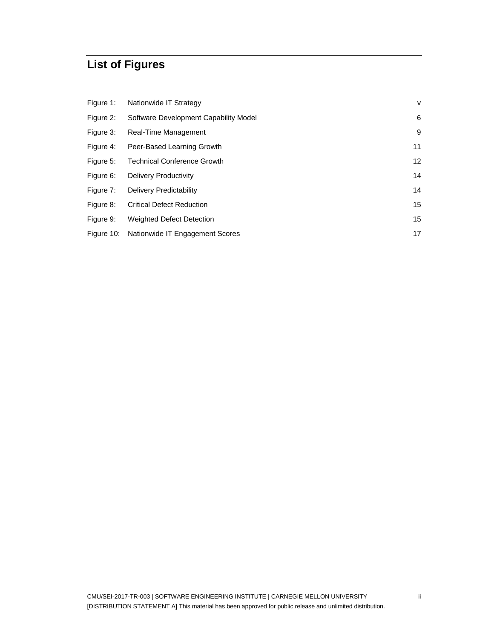## **List of Figures**

| Figure 1: | Nationwide IT Strategy                     | V               |
|-----------|--------------------------------------------|-----------------|
| Figure 2: | Software Development Capability Model      | 6               |
| Figure 3: | Real-Time Management                       | 9               |
| Figure 4: | Peer-Based Learning Growth                 | 11              |
| Figure 5: | <b>Technical Conference Growth</b>         | 12 <sup>2</sup> |
| Figure 6: | <b>Delivery Productivity</b>               | 14              |
| Figure 7: | Delivery Predictability                    | 14              |
| Figure 8: | <b>Critical Defect Reduction</b>           | 15              |
| Figure 9: | Weighted Defect Detection                  | 15              |
|           | Figure 10: Nationwide IT Engagement Scores | 17              |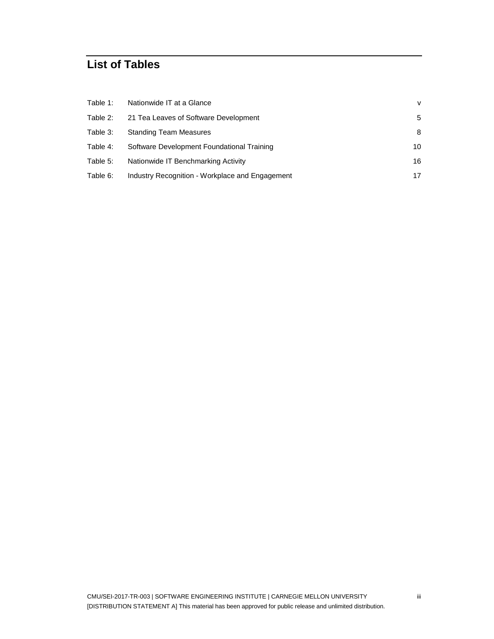## **List of Tables**

| Table 1: | Nationwide IT at a Glance                       | $\vee$ |
|----------|-------------------------------------------------|--------|
| Table 2: | 21 Tea Leaves of Software Development           | 5      |
| Table 3: | <b>Standing Team Measures</b>                   | 8      |
| Table 4: | Software Development Foundational Training      | 10     |
| Table 5: | Nationwide IT Benchmarking Activity             | 16     |
| Table 6: | Industry Recognition - Workplace and Engagement | 17     |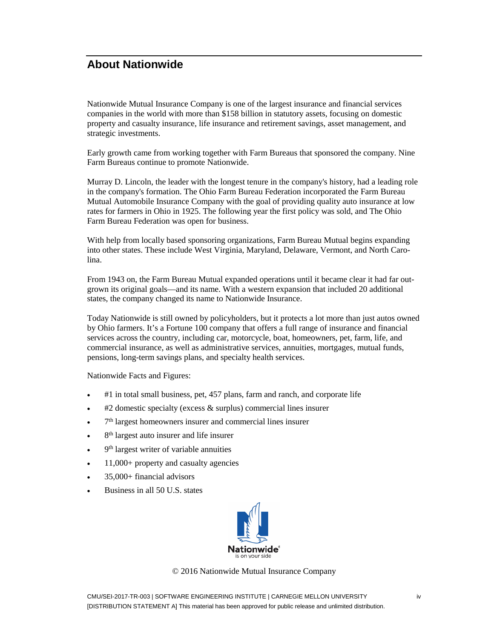## <span id="page-5-0"></span>**About Nationwide**

Nationwide Mutual Insurance Company is one of the largest insurance and financial services companies in the world with more than \$158 billion in statutory assets, focusing on domestic property and casualty insurance, life insurance and retirement savings, asset management, and strategic investments.

Early growth came from working together with Farm Bureaus that sponsored the company. Nine Farm Bureaus continue to promote Nationwide.

Murray D. Lincoln, the leader with the longest tenure in the company's history, had a leading role in the company's formation. The Ohio Farm Bureau Federation incorporated the Farm Bureau Mutual Automobile Insurance Company with the goal of providing quality auto insurance at low rates for farmers in Ohio in 1925. The following year the first policy was sold, and The Ohio Farm Bureau Federation was open for business.

With help from locally based sponsoring organizations, Farm Bureau Mutual begins expanding into other states. These include West Virginia, Maryland, Delaware, Vermont, and North Carolina.

From 1943 on, the Farm Bureau Mutual expanded operations until it became clear it had far outgrown its original goals—and its name. With a western expansion that included 20 additional states, the company changed its name to Nationwide Insurance.

Today Nationwide is still owned by policyholders, but it protects a lot more than just autos owned by Ohio farmers. It's a Fortune 100 company that offers a full range of insurance and financial services across the country, including car, motorcycle, boat, homeowners, pet, farm, life, and commercial insurance, as well as administrative services, annuities, mortgages, mutual funds, pensions, long-term savings plans, and specialty health services.

Nationwide Facts and Figures:

- #1 in total small business, pet, 457 plans, farm and ranch, and corporate life
- $\bullet$  #2 domestic specialty (excess & surplus) commercial lines insurer
- $\bullet$   $7<sup>th</sup>$  largest homeowners insurer and commercial lines insurer
- $\bullet$  8<sup>th</sup> largest auto insurer and life insurer
- $\bullet$  9<sup>th</sup> largest writer of variable annuities
- 11,000+ property and casualty agencies
- 35,000+ financial advisors
- Business in all 50 U.S. states



© 2016 Nationwide Mutual Insurance Company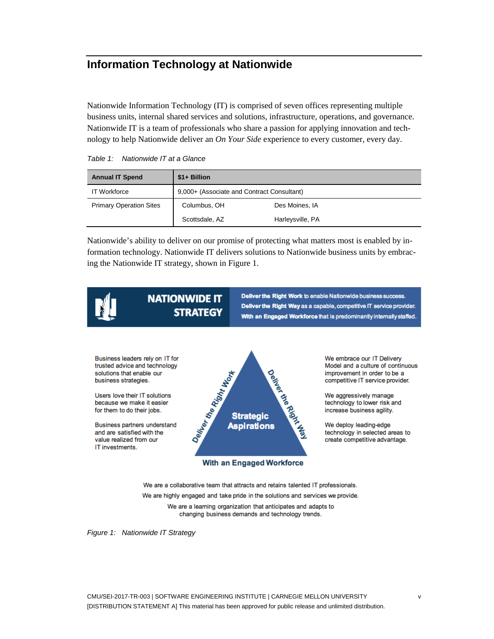## <span id="page-6-0"></span>**Information Technology at Nationwide**

Nationwide Information Technology (IT) is comprised of seven offices representing multiple business units, internal shared services and solutions, infrastructure, operations, and governance. Nationwide IT is a team of professionals who share a passion for applying innovation and technology to help Nationwide deliver an *On Your Side* experience to every customer, every day.

<span id="page-6-2"></span>

| <b>Annual IT Spend</b>         | $$1+$ Billion                              |                  |  |
|--------------------------------|--------------------------------------------|------------------|--|
| <b>IT Workforce</b>            | 9,000+ (Associate and Contract Consultant) |                  |  |
| <b>Primary Operation Sites</b> | Columbus, OH                               | Des Moines, IA   |  |
|                                | Scottsdale, AZ                             | Harleysville, PA |  |

Nationwide's ability to deliver on our promise of protecting what matters most is enabled by information technology. Nationwide IT delivers solutions to Nationwide business units by embracing the Nationwide IT strategy, shown in [Figure 1.](#page-6-1)



## **NATIONWIDE IT STRATEGY**

Deliver the Right Work to enable Nationwide business success. Deliver the Right Way as a capable, competitive IT service provider. With an Engaged Workforce that is predominantly internally staffed.

Business leaders rely on IT for trusted advice and technology solutions that enable our business strategies.

Users love their IT solutions because we make it easier for them to do their jobs.

Business partners understand and are satisfied with the value realized from our IT investments.



With an Engaged Workforce

We embrace our IT Delivery Model and a culture of continuous improvement in order to be a competitive IT service provider.

We aggressively manage technology to lower risk and increase business agility.

We deploy leading-edge technology in selected areas to create competitive advantage.

We are a collaborative team that attracts and retains talented IT professionals. We are highly engaged and take pride in the solutions and services we provide. We are a learning organization that anticipates and adapts to changing business demands and technology trends.

<span id="page-6-1"></span>*Figure 1: Nationwide IT Strategy*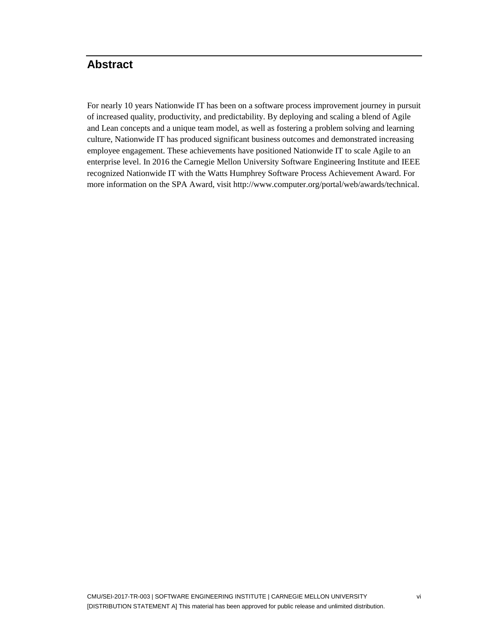## <span id="page-7-0"></span>**Abstract**

For nearly 10 years Nationwide IT has been on a software process improvement journey in pursuit of increased quality, productivity, and predictability. By deploying and scaling a blend of Agile and Lean concepts and a unique team model, as well as fostering a problem solving and learning culture, Nationwide IT has produced significant business outcomes and demonstrated increasing employee engagement. These achievements have positioned Nationwide IT to scale Agile to an enterprise level. In 2016 the Carnegie Mellon University Software Engineering Institute and IEEE recognized Nationwide IT with the Watts Humphrey Software Process Achievement Award. For more information on the SPA Award, visit [http://www.computer.org/portal/web/awards/technical.](http://www.computer.org/portal/web/awards/technical)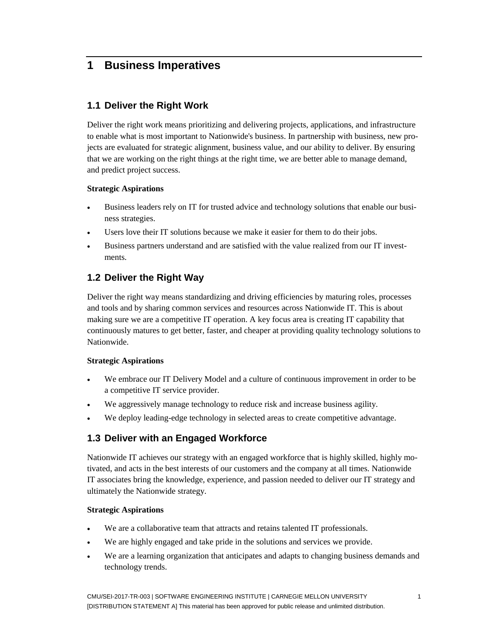## <span id="page-8-0"></span>**1 Business Imperatives**

#### <span id="page-8-1"></span>**1.1 Deliver the Right Work**

Deliver the right work means prioritizing and delivering projects, applications, and infrastructure to enable what is most important to Nationwide's business. In partnership with business, new projects are evaluated for strategic alignment, business value, and our ability to deliver. By ensuring that we are working on the right things at the right time, we are better able to manage demand, and predict project success.

#### **Strategic Aspirations**

- Business leaders rely on IT for trusted advice and technology solutions that enable our business strategies.
- Users love their IT solutions because we make it easier for them to do their jobs.
- Business partners understand and are satisfied with the value realized from our IT investments.

#### <span id="page-8-2"></span>**1.2 Deliver the Right Way**

Deliver the right way means standardizing and driving efficiencies by maturing roles, processes and tools and by sharing common services and resources across Nationwide IT. This is about making sure we are a competitive IT operation. A key focus area is creating IT capability that continuously matures to get better, faster, and cheaper at providing quality technology solutions to Nationwide.

#### **Strategic Aspirations**

- We embrace our IT Delivery Model and a culture of continuous improvement in order to be a competitive IT service provider.
- We aggressively manage technology to reduce risk and increase business agility.
- <span id="page-8-3"></span>We deploy leading-edge technology in selected areas to create competitive advantage.

#### **1.3 Deliver with an Engaged Workforce**

Nationwide IT achieves our strategy with an engaged workforce that is highly skilled, highly motivated, and acts in the best interests of our customers and the company at all times. Nationwide IT associates bring the knowledge, experience, and passion needed to deliver our IT strategy and ultimately the Nationwide strategy.

#### **Strategic Aspirations**

- We are a collaborative team that attracts and retains talented IT professionals.
- We are highly engaged and take pride in the solutions and services we provide.
- We are a learning organization that anticipates and adapts to changing business demands and technology trends.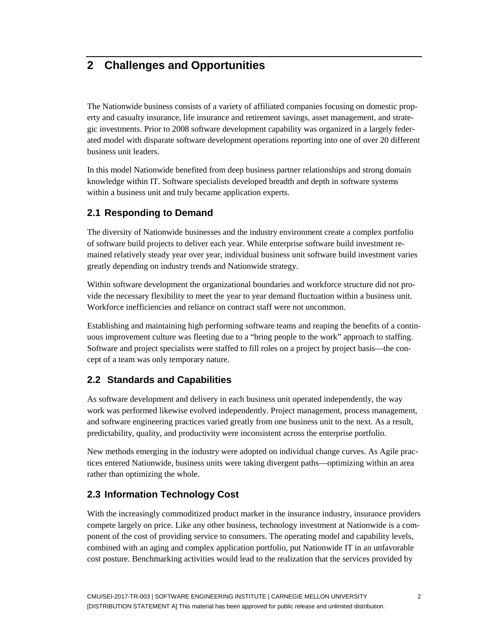## <span id="page-9-0"></span>**2 Challenges and Opportunities**

The Nationwide business consists of a variety of affiliated companies focusing on domestic property and casualty insurance, life insurance and retirement savings, asset management, and strategic investments. Prior to 2008 software development capability was organized in a largely federated model with disparate software development operations reporting into one of over 20 different business unit leaders.

In this model Nationwide benefited from deep business partner relationships and strong domain knowledge within IT. Software specialists developed breadth and depth in software systems within a business unit and truly became application experts.

#### <span id="page-9-1"></span>**2.1 Responding to Demand**

The diversity of Nationwide businesses and the industry environment create a complex portfolio of software build projects to deliver each year. While enterprise software build investment remained relatively steady year over year, individual business unit software build investment varies greatly depending on industry trends and Nationwide strategy.

Within software development the organizational boundaries and workforce structure did not provide the necessary flexibility to meet the year to year demand fluctuation within a business unit. Workforce inefficiencies and reliance on contract staff were not uncommon.

Establishing and maintaining high performing software teams and reaping the benefits of a continuous improvement culture was fleeting due to a "bring people to the work" approach to staffing. Software and project specialists were staffed to fill roles on a project by project basis—the concept of a team was only temporary nature.

#### <span id="page-9-2"></span>**2.2 Standards and Capabilities**

As software development and delivery in each business unit operated independently, the way work was performed likewise evolved independently. Project management, process management, and software engineering practices varied greatly from one business unit to the next. As a result, predictability, quality, and productivity were inconsistent across the enterprise portfolio.

New methods emerging in the industry were adopted on individual change curves. As Agile practices entered Nationwide, business units were taking divergent paths—optimizing within an area rather than optimizing the whole.

#### <span id="page-9-3"></span>**2.3 Information Technology Cost**

With the increasingly commoditized product market in the insurance industry, insurance providers compete largely on price. Like any other business, technology investment at Nationwide is a component of the cost of providing service to consumers. The operating model and capability levels, combined with an aging and complex application portfolio, put Nationwide IT in an unfavorable cost posture. Benchmarking activities would lead to the realization that the services provided by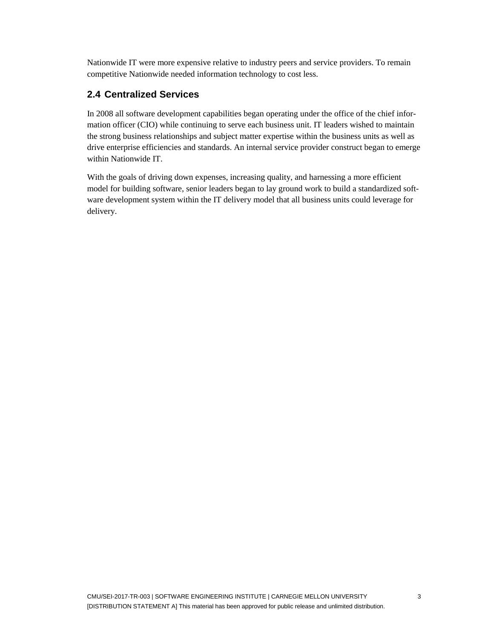Nationwide IT were more expensive relative to industry peers and service providers. To remain competitive Nationwide needed information technology to cost less.

### <span id="page-10-0"></span>**2.4 Centralized Services**

In 2008 all software development capabilities began operating under the office of the chief information officer (CIO) while continuing to serve each business unit. IT leaders wished to maintain the strong business relationships and subject matter expertise within the business units as well as drive enterprise efficiencies and standards. An internal service provider construct began to emerge within Nationwide IT.

With the goals of driving down expenses, increasing quality, and harnessing a more efficient model for building software, senior leaders began to lay ground work to build a standardized software development system within the IT delivery model that all business units could leverage for delivery.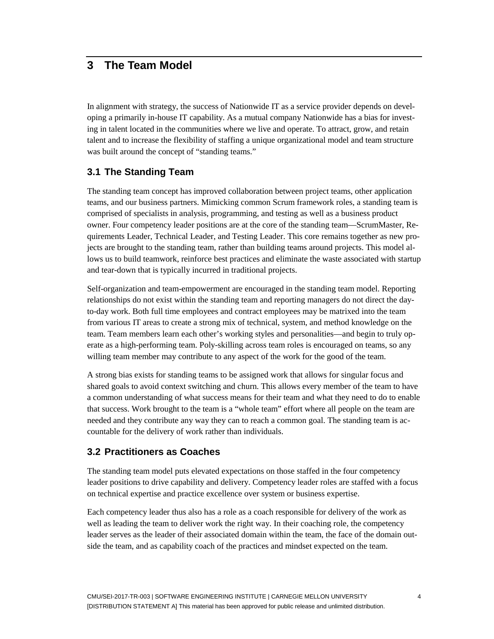## <span id="page-11-0"></span>**3 The Team Model**

In alignment with strategy, the success of Nationwide IT as a service provider depends on developing a primarily in-house IT capability. As a mutual company Nationwide has a bias for investing in talent located in the communities where we live and operate. To attract, grow, and retain talent and to increase the flexibility of staffing a unique organizational model and team structure was built around the concept of "standing teams."

#### <span id="page-11-1"></span>**3.1 The Standing Team**

The standing team concept has improved collaboration between project teams, other application teams, and our business partners. Mimicking common Scrum framework roles, a standing team is comprised of specialists in analysis, programming, and testing as well as a business product owner. Four competency leader positions are at the core of the standing team—ScrumMaster, Requirements Leader, Technical Leader, and Testing Leader. This core remains together as new projects are brought to the standing team, rather than building teams around projects. This model allows us to build teamwork, reinforce best practices and eliminate the waste associated with startup and tear-down that is typically incurred in traditional projects.

Self-organization and team-empowerment are encouraged in the standing team model. Reporting relationships do not exist within the standing team and reporting managers do not direct the dayto-day work. Both full time employees and contract employees may be matrixed into the team from various IT areas to create a strong mix of technical, system, and method knowledge on the team. Team members learn each other's working styles and personalities—and begin to truly operate as a high-performing team. Poly-skilling across team roles is encouraged on teams, so any willing team member may contribute to any aspect of the work for the good of the team.

A strong bias exists for standing teams to be assigned work that allows for singular focus and shared goals to avoid context switching and churn. This allows every member of the team to have a common understanding of what success means for their team and what they need to do to enable that success. Work brought to the team is a "whole team" effort where all people on the team are needed and they contribute any way they can to reach a common goal. The standing team is accountable for the delivery of work rather than individuals.

#### <span id="page-11-2"></span>**3.2 Practitioners as Coaches**

The standing team model puts elevated expectations on those staffed in the four competency leader positions to drive capability and delivery. Competency leader roles are staffed with a focus on technical expertise and practice excellence over system or business expertise.

Each competency leader thus also has a role as a coach responsible for delivery of the work as well as leading the team to deliver work the right way. In their coaching role, the competency leader serves as the leader of their associated domain within the team, the face of the domain outside the team, and as capability coach of the practices and mindset expected on the team.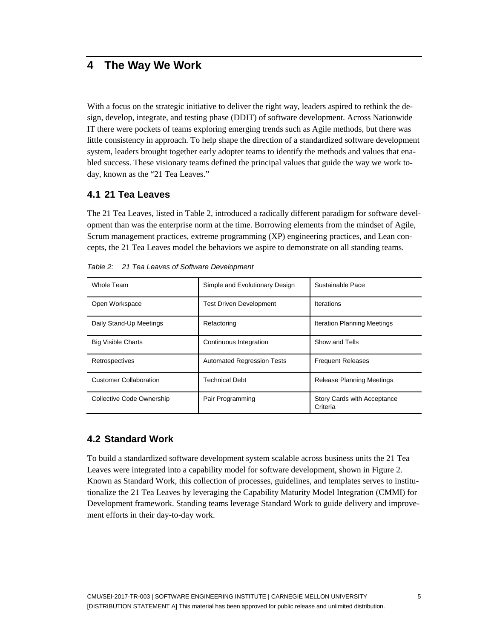## <span id="page-12-0"></span>**4 The Way We Work**

With a focus on the strategic initiative to deliver the right way, leaders aspired to rethink the design, develop, integrate, and testing phase (DDIT) of software development. Across Nationwide IT there were pockets of teams exploring emerging trends such as Agile methods, but there was little consistency in approach. To help shape the direction of a standardized software development system, leaders brought together early adopter teams to identify the methods and values that enabled success. These visionary teams defined the principal values that guide the way we work today, known as the "21 Tea Leaves."

#### <span id="page-12-1"></span>**4.1 21 Tea Leaves**

The 21 Tea Leaves, listed in [Table 2,](#page-12-3) introduced a radically different paradigm for software development than was the enterprise norm at the time. Borrowing elements from the mindset of Agile, Scrum management practices, extreme programming (XP) engineering practices, and Lean concepts, the 21 Tea Leaves model the behaviors we aspire to demonstrate on all standing teams.

| Whole Team                       | Simple and Evolutionary Design    | Sustainable Pace                               |  |
|----------------------------------|-----------------------------------|------------------------------------------------|--|
| Open Workspace                   | <b>Test Driven Development</b>    | Iterations                                     |  |
| Daily Stand-Up Meetings          | Refactoring                       | <b>Iteration Planning Meetings</b>             |  |
| <b>Big Visible Charts</b>        | Continuous Integration            | Show and Tells                                 |  |
| Retrospectives                   | <b>Automated Regression Tests</b> | <b>Frequent Releases</b>                       |  |
| <b>Customer Collaboration</b>    | <b>Technical Debt</b>             | Release Planning Meetings                      |  |
| <b>Collective Code Ownership</b> | Pair Programming                  | <b>Story Cards with Acceptance</b><br>Criteria |  |

<span id="page-12-3"></span>*Table 2: 21 Tea Leaves of Software Development*

#### <span id="page-12-2"></span>**4.2 Standard Work**

To build a standardized software development system scalable across business units the 21 Tea Leaves were integrated into a capability model for software development, shown in [Figure 2.](#page-13-1) Known as Standard Work, this collection of processes, guidelines, and templates serves to institutionalize the 21 Tea Leaves by leveraging the Capability Maturity Model Integration (CMMI) for Development framework. Standing teams leverage Standard Work to guide delivery and improvement efforts in their day-to-day work.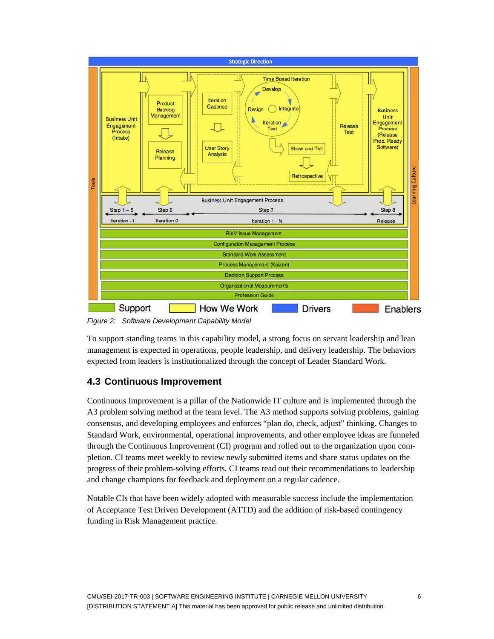

<span id="page-13-1"></span>*Figure 2: Software Development Capability Model*

To support standing teams in this capability model, a strong focus on servant leadership and lean management is expected in operations, people leadership, and delivery leadership. The behaviors expected from leaders is institutionalized through the concept of Leader Standard Work.

#### <span id="page-13-0"></span>**4.3 Continuous Improvement**

Continuous Improvement is a pillar of the Nationwide IT culture and is implemented through the A3 problem solving method at the team level. The A3 method supports solving problems, gaining consensus, and developing employees and enforces "plan do, check, adjust" thinking. Changes to Standard Work, environmental, operational improvements, and other employee ideas are funneled through the Continuous Improvement (CI) program and rolled out to the organization upon completion. CI teams meet weekly to review newly submitted items and share status updates on the progress of their problem-solving efforts. CI teams read out their recommendations to leadership and change champions for feedback and deployment on a regular cadence.

Notable CIs that have been widely adopted with measurable success include the implementation of Acceptance Test Driven Development (ATTD) and the addition of risk-based contingency funding in Risk Management practice.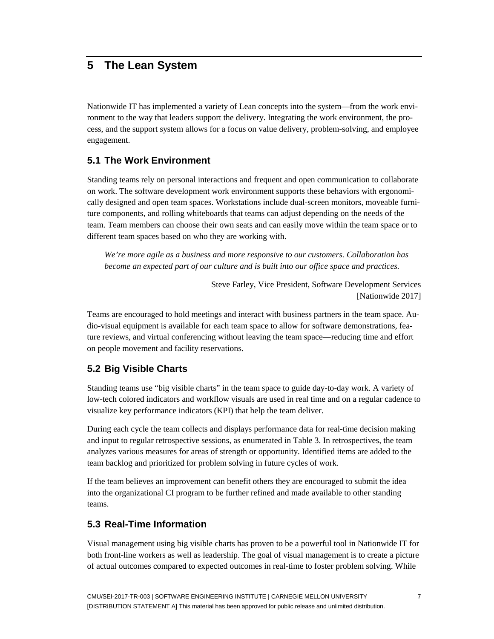## <span id="page-14-0"></span>**5 The Lean System**

Nationwide IT has implemented a variety of Lean concepts into the system—from the work environment to the way that leaders support the delivery. Integrating the work environment, the process, and the support system allows for a focus on value delivery, problem-solving, and employee engagement.

#### <span id="page-14-1"></span>**5.1 The Work Environment**

Standing teams rely on personal interactions and frequent and open communication to collaborate on work. The software development work environment supports these behaviors with ergonomically designed and open team spaces. Workstations include dual-screen monitors, moveable furniture components, and rolling whiteboards that teams can adjust depending on the needs of the team. Team members can choose their own seats and can easily move within the team space or to different team spaces based on who they are working with.

*We're more agile as a business and more responsive to our customers. Collaboration has become an expected part of our culture and is built into our office space and practices.*

> Steve Farley, Vice President, Software Development Services [Nationwide 2017]

Teams are encouraged to hold meetings and interact with business partners in the team space. Audio-visual equipment is available for each team space to allow for software demonstrations, feature reviews, and virtual conferencing without leaving the team space—reducing time and effort on people movement and facility reservations.

#### <span id="page-14-2"></span>**5.2 Big Visible Charts**

Standing teams use "big visible charts" in the team space to guide day-to-day work. A variety of low-tech colored indicators and workflow visuals are used in real time and on a regular cadence to visualize key performance indicators (KPI) that help the team deliver.

During each cycle the team collects and displays performance data for real-time decision making and input to regular retrospective sessions, as enumerated in [Table 3.](#page-15-1) In retrospectives, the team analyzes various measures for areas of strength or opportunity. Identified items are added to the team backlog and prioritized for problem solving in future cycles of work.

If the team believes an improvement can benefit others they are encouraged to submit the idea into the organizational CI program to be further refined and made available to other standing teams.

#### <span id="page-14-3"></span>**5.3 Real-Time Information**

Visual management using big visible charts has proven to be a powerful tool in Nationwide IT for both front-line workers as well as leadership. The goal of visual management is to create a picture of actual outcomes compared to expected outcomes in real-time to foster problem solving. While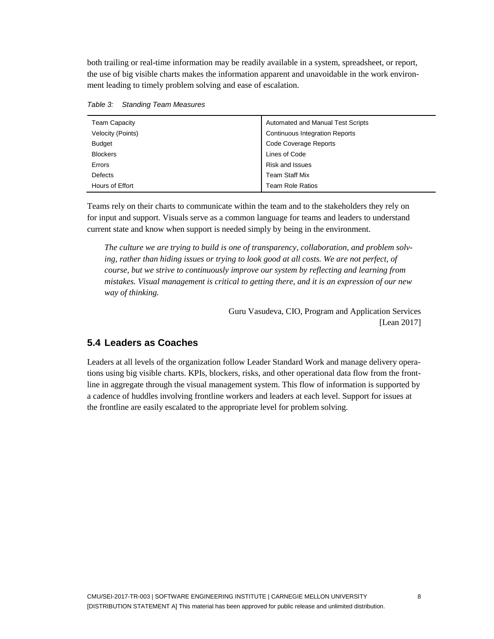both trailing or real-time information may be readily available in a system, spreadsheet, or report, the use of big visible charts makes the information apparent and unavoidable in the work environment leading to timely problem solving and ease of escalation.

| <b>Team Capacity</b> | Automated and Manual Test Scripts     |
|----------------------|---------------------------------------|
| Velocity (Points)    | <b>Continuous Integration Reports</b> |
| <b>Budget</b>        | <b>Code Coverage Reports</b>          |
| <b>Blockers</b>      | Lines of Code                         |
| Errors               | Risk and Issues                       |
| <b>Defects</b>       | <b>Team Staff Mix</b>                 |
| Hours of Effort      | <b>Team Role Ratios</b>               |

<span id="page-15-1"></span>*Table 3: Standing Team Measures*

Teams rely on their charts to communicate within the team and to the stakeholders they rely on for input and support. Visuals serve as a common language for teams and leaders to understand current state and know when support is needed simply by being in the environment.

*The culture we are trying to build is one of transparency, collaboration, and problem solving, rather than hiding issues or trying to look good at all costs. We are not perfect, of course, but we strive to continuously improve our system by reflecting and learning from mistakes. Visual management is critical to getting there, and it is an expression of our new way of thinking.*

> Guru Vasudeva, CIO, Program and Application Services [Lean 2017]

#### <span id="page-15-0"></span>**5.4 Leaders as Coaches**

Leaders at all levels of the organization follow Leader Standard Work and manage delivery operations using big visible charts. KPIs, blockers, risks, and other operational data flow from the frontline in aggregate through the visual management system. This flow of information is supported by a cadence of huddles involving frontline workers and leaders at each level. Support for issues at the frontline are easily escalated to the appropriate level for problem solving.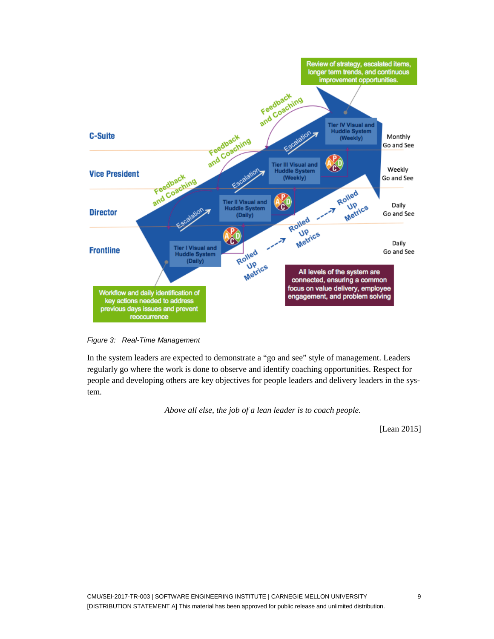

<span id="page-16-0"></span>*Figure 3: Real-Time Management*

In the system leaders are expected to demonstrate a "go and see" style of management. Leaders regularly go where the work is done to observe and identify coaching opportunities. Respect for people and developing others are key objectives for people leaders and delivery leaders in the system.

*Above all else, the job of a lean leader is to coach people.*

[Lean 2015]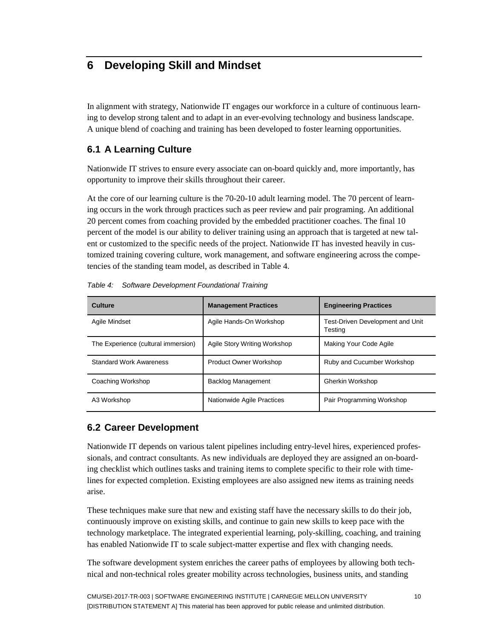## <span id="page-17-0"></span>**6 Developing Skill and Mindset**

In alignment with strategy, Nationwide IT engages our workforce in a culture of continuous learning to develop strong talent and to adapt in an ever-evolving technology and business landscape. A unique blend of coaching and training has been developed to foster learning opportunities.

#### <span id="page-17-1"></span>**6.1 A Learning Culture**

Nationwide IT strives to ensure every associate can on-board quickly and, more importantly, has opportunity to improve their skills throughout their career.

At the core of our learning culture is the 70-20-10 adult learning model. The 70 percent of learning occurs in the work through practices such as peer review and pair programing. An additional 20 percent comes from coaching provided by the embedded practitioner coaches. The final 10 percent of the model is our ability to deliver training using an approach that is targeted at new talent or customized to the specific needs of the project. Nationwide IT has invested heavily in customized training covering culture, work management, and software engineering across the competencies of the standing team model, as described in [Table 4.](#page-17-3)

| <b>Culture</b>                      | <b>Management Practices</b>   | <b>Engineering Practices</b>                |  |
|-------------------------------------|-------------------------------|---------------------------------------------|--|
| Agile Mindset                       | Agile Hands-On Workshop       | Test-Driven Development and Unit<br>Testing |  |
| The Experience (cultural immersion) | Agile Story Writing Workshop  | Making Your Code Agile                      |  |
| <b>Standard Work Awareness</b>      | <b>Product Owner Workshop</b> | Ruby and Cucumber Workshop                  |  |
| Coaching Workshop                   | <b>Backlog Management</b>     | Gherkin Workshop                            |  |
| A3 Workshop                         | Nationwide Agile Practices    | Pair Programming Workshop                   |  |

<span id="page-17-3"></span>*Table 4: Software Development Foundational Training*

#### <span id="page-17-2"></span>**6.2 Career Development**

Nationwide IT depends on various talent pipelines including entry-level hires, experienced professionals, and contract consultants. As new individuals are deployed they are assigned an on-boarding checklist which outlines tasks and training items to complete specific to their role with timelines for expected completion. Existing employees are also assigned new items as training needs arise.

These techniques make sure that new and existing staff have the necessary skills to do their job, continuously improve on existing skills, and continue to gain new skills to keep pace with the technology marketplace. The integrated experiential learning, poly-skilling, coaching, and training has enabled Nationwide IT to scale subject-matter expertise and flex with changing needs.

The software development system enriches the career paths of employees by allowing both technical and non-technical roles greater mobility across technologies, business units, and standing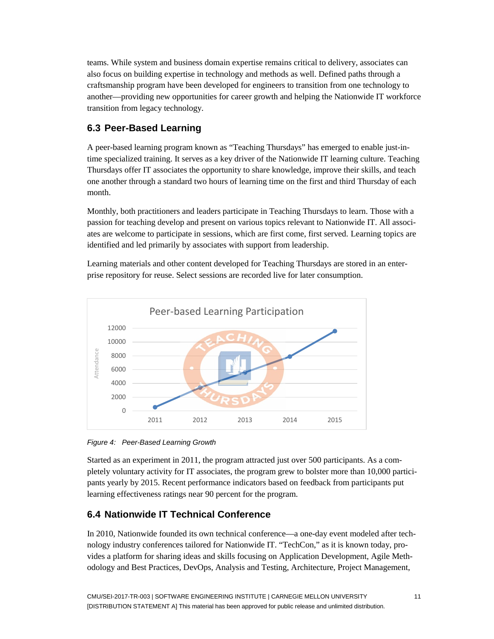teams. While system and business domain expertise remains critical to delivery, associates can also focus on building expertise in technology and methods as well. Defined paths through a craftsmanship program have been developed for engineers to transition from one technology to another—providing new opportunities for career growth and helping the Nationwide IT workforce transition from legacy technology.

### <span id="page-18-0"></span>**6.3 Peer-Based Learning**

A peer-based learning program known as "Teaching Thursdays" has emerged to enable just-intime specialized training. It serves as a key driver of the Nationwide IT learning culture. Teaching Thursdays offer IT associates the opportunity to share knowledge, improve their skills, and teach one another through a standard two hours of learning time on the first and third Thursday of each month.

Monthly, both practitioners and leaders participate in Teaching Thursdays to learn. Those with a passion for teaching develop and present on various topics relevant to Nationwide IT. All associates are welcome to participate in sessions, which are first come, first served. Learning topics are identified and led primarily by associates with support from leadership.

Learning materials and other content developed for Teaching Thursdays are stored in an enterprise repository for reuse. Select sessions are recorded live for later consumption.



<span id="page-18-2"></span>*Figure 4: Peer-Based Learning Growth* 

Started as an experiment in 2011, the program attracted just over 500 participants. As a completely voluntary activity for IT associates, the program grew to bolster more than 10,000 participants yearly by 2015. Recent performance indicators based on feedback from participants put learning effectiveness ratings near 90 percent for the program.

## <span id="page-18-1"></span>**6.4 Nationwide IT Technical Conference**

In 2010, Nationwide founded its own technical conference—a one-day event modeled after technology industry conferences tailored for Nationwide IT. "TechCon," as it is known today, provides a platform for sharing ideas and skills focusing on Application Development, Agile Methodology and Best Practices, DevOps, Analysis and Testing, Architecture, Project Management,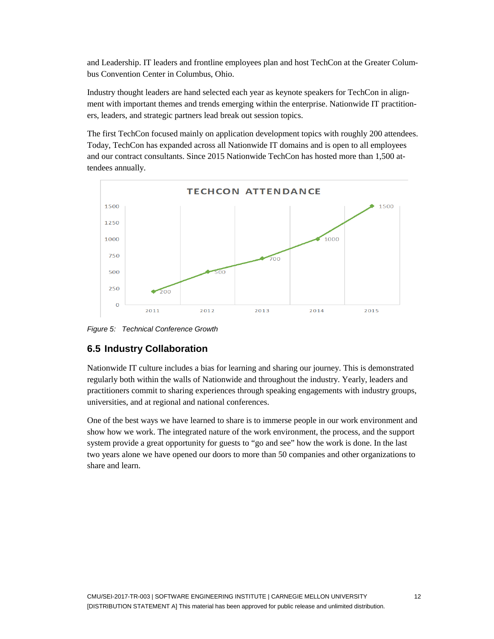and Leadership. IT leaders and frontline employees plan and host TechCon at the Greater Columbus Convention Center in Columbus, Ohio.

Industry thought leaders are hand selected each year as keynote speakers for TechCon in alignment with important themes and trends emerging within the enterprise. Nationwide IT practitioners, leaders, and strategic partners lead break out session topics.

The first TechCon focused mainly on application development topics with roughly 200 attendees. Today, TechCon has expanded across all Nationwide IT domains and is open to all employees and our contract consultants. Since 2015 Nationwide TechCon has hosted more than 1,500 attendees annually.



<span id="page-19-1"></span>*Figure 5: Technical Conference Growth* 

#### <span id="page-19-0"></span>**6.5 Industry Collaboration**

Nationwide IT culture includes a bias for learning and sharing our journey. This is demonstrated regularly both within the walls of Nationwide and throughout the industry. Yearly, leaders and practitioners commit to sharing experiences through speaking engagements with industry groups, universities, and at regional and national conferences.

One of the best ways we have learned to share is to immerse people in our work environment and show how we work. The integrated nature of the work environment, the process, and the support system provide a great opportunity for guests to "go and see" how the work is done. In the last two years alone we have opened our doors to more than 50 companies and other organizations to share and learn.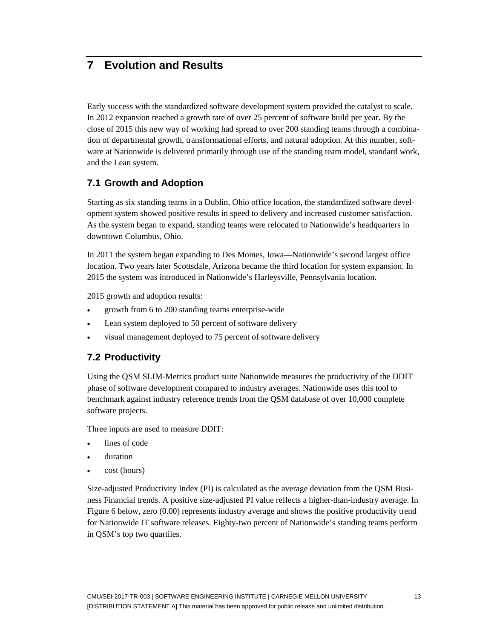## <span id="page-20-0"></span>**7 Evolution and Results**

Early success with the standardized software development system provided the catalyst to scale. In 2012 expansion reached a growth rate of over 25 percent of software build per year. By the close of 2015 this new way of working had spread to over 200 standing teams through a combination of departmental growth, transformational efforts, and natural adoption. At this number, software at Nationwide is delivered primarily through use of the standing team model, standard work, and the Lean system.

#### <span id="page-20-1"></span>**7.1 Growth and Adoption**

Starting as six standing teams in a Dublin, Ohio office location, the standardized software development system showed positive results in speed to delivery and increased customer satisfaction. As the system began to expand, standing teams were relocated to Nationwide's headquarters in downtown Columbus, Ohio.

In 2011 the system began expanding to Des Moines, Iowa—Nationwide's second largest office location. Two years later Scottsdale, Arizona became the third location for system expansion. In 2015 the system was introduced in Nationwide's Harleysville, Pennsylvania location.

2015 growth and adoption results:

- growth from 6 to 200 standing teams enterprise-wide
- Lean system deployed to 50 percent of software delivery
- visual management deployed to 75 percent of software delivery

#### <span id="page-20-2"></span>**7.2 Productivity**

Using the QSM SLIM-Metrics product suite Nationwide measures the productivity of the DDIT phase of software development compared to industry averages. Nationwide uses this tool to benchmark against industry reference trends from the QSM database of over 10,000 complete software projects.

Three inputs are used to measure DDIT:

- lines of code
- duration
- cost (hours)

Size-adjusted Productivity Index (PI) is calculated as the average deviation from the QSM Business Financial trends. A positive size-adjusted PI value reflects a higher-than-industry average. In [Figure 6](#page-21-1) below, zero (0.00) represents industry average and shows the positive productivity trend for Nationwide IT software releases. Eighty-two percent of Nationwide's standing teams perform in QSM's top two quartiles.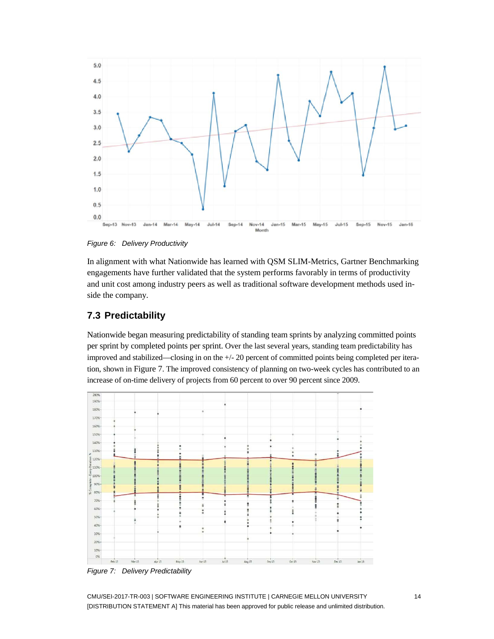

<span id="page-21-1"></span>*Figure 6: Delivery Productivity* 

In alignment with what Nationwide has learned with QSM SLIM-Metrics, Gartner Benchmarking engagements have further validated that the system performs favorably in terms of productivity and unit cost among industry peers as well as traditional software development methods used inside the company.

#### <span id="page-21-0"></span>**7.3 Predictability**

Nationwide began measuring predictability of standing team sprints by analyzing committed points per sprint by completed points per sprint. Over the last several years, standing team predictability has improved and stabilized—closing in on the +/- 20 percent of committed points being completed per iteration, shown in [Figure 7.](#page-21-2) The improved consistency of planning on two-week cycles has contributed to an increase of on-time delivery of projects from 60 percent to over 90 percent since 2009.



<span id="page-21-2"></span>*Figure 7: Delivery Predictability* 

CMU/SEI-2017-TR-003 | SOFTWARE ENGINEERING INSTITUTE | CARNEGIE MELLON UNIVERSITY 14 [DISTRIBUTION STATEMENT A] This material has been approved for public release and unlimited distribution.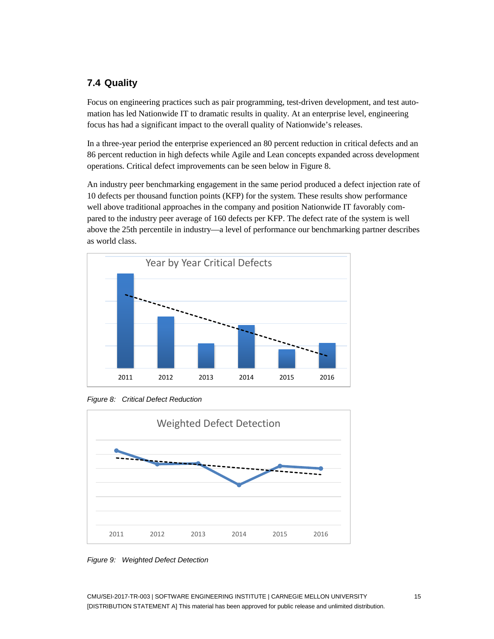#### <span id="page-22-0"></span>**7.4 Quality**

Focus on engineering practices such as pair programming, test-driven development, and test automation has led Nationwide IT to dramatic results in quality. At an enterprise level, engineering focus has had a significant impact to the overall quality of Nationwide's releases.

In a three-year period the enterprise experienced an 80 percent reduction in critical defects and an 86 percent reduction in high defects while Agile and Lean concepts expanded across development operations. Critical defect improvements can be seen below in [Figure 8.](#page-22-1)

An industry peer benchmarking engagement in the same period produced a defect injection rate of 10 defects per thousand function points (KFP) for the system. These results show performance well above traditional approaches in the company and position Nationwide IT favorably compared to the industry peer average of 160 defects per KFP. The defect rate of the system is well above the 25th percentile in industry—a level of performance our benchmarking partner describes as world class.



<span id="page-22-1"></span>*Figure 8: Critical Defect Reduction*



<span id="page-22-2"></span>*Figure 9: Weighted Defect Detection*

CMU/SEI-2017-TR-003 | SOFTWARE ENGINEERING INSTITUTE | CARNEGIE MELLON UNIVERSITY 15 [DISTRIBUTION STATEMENT A] This material has been approved for public release and unlimited distribution.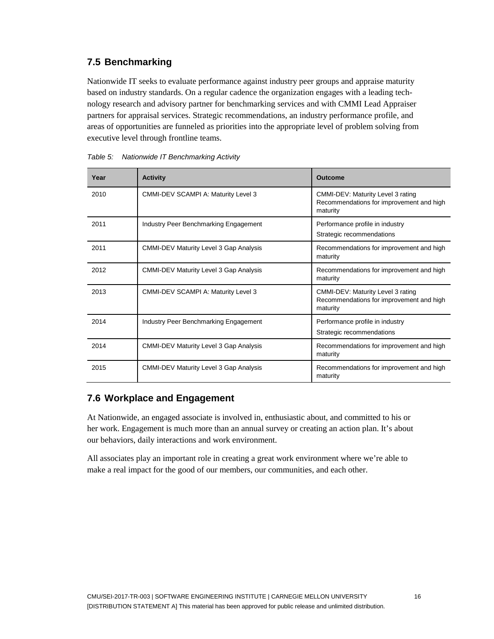### <span id="page-23-0"></span>**7.5 Benchmarking**

Nationwide IT seeks to evaluate performance against industry peer groups and appraise maturity based on industry standards. On a regular cadence the organization engages with a leading technology research and advisory partner for benchmarking services and with CMMI Lead Appraiser partners for appraisal services. Strategic recommendations, an industry performance profile, and areas of opportunities are funneled as priorities into the appropriate level of problem solving from executive level through frontline teams.

| Year | <b>Activity</b>                               | <b>Outcome</b>                                                                            |
|------|-----------------------------------------------|-------------------------------------------------------------------------------------------|
| 2010 | CMMI-DEV SCAMPI A: Maturity Level 3           | CMMI-DEV: Maturity Level 3 rating<br>Recommendations for improvement and high<br>maturity |
| 2011 | Industry Peer Benchmarking Engagement         | Performance profile in industry<br>Strategic recommendations                              |
| 2011 | <b>CMMI-DEV Maturity Level 3 Gap Analysis</b> | Recommendations for improvement and high<br>maturity                                      |
| 2012 | <b>CMMI-DEV Maturity Level 3 Gap Analysis</b> | Recommendations for improvement and high<br>maturity                                      |
| 2013 | CMMI-DEV SCAMPI A: Maturity Level 3           | CMMI-DEV: Maturity Level 3 rating<br>Recommendations for improvement and high<br>maturity |
| 2014 | Industry Peer Benchmarking Engagement         | Performance profile in industry<br>Strategic recommendations                              |
| 2014 | <b>CMMI-DEV Maturity Level 3 Gap Analysis</b> | Recommendations for improvement and high<br>maturity                                      |
| 2015 | <b>CMMI-DEV Maturity Level 3 Gap Analysis</b> | Recommendations for improvement and high<br>maturity                                      |

<span id="page-23-2"></span>*Table 5: Nationwide IT Benchmarking Activity*

#### <span id="page-23-1"></span>**7.6 Workplace and Engagement**

At Nationwide, an engaged associate is involved in, enthusiastic about, and committed to his or her work. Engagement is much more than an annual survey or creating an action plan. It's about our behaviors, daily interactions and work environment.

All associates play an important role in creating a great work environment where we're able to make a real impact for the good of our members, our communities, and each other.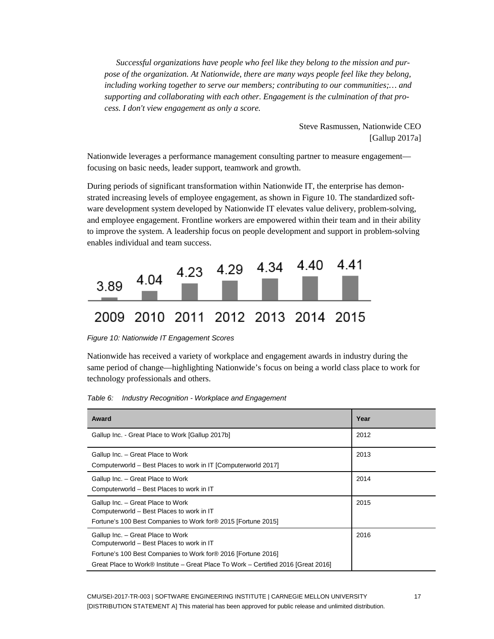*Successful organizations have people who feel like they belong to the mission and purpose of the organization. At Nationwide, there are many ways people feel like they belong, including working together to serve our members; contributing to our communities;… and supporting and collaborating with each other. Engagement is the culmination of that process. I don't view engagement as only a score.*

> Steve Rasmussen, Nationwide CEO [Gallup 2017a]

Nationwide leverages a performance management consulting partner to measure engagement focusing on basic needs, leader support, teamwork and growth.

During periods of significant transformation within Nationwide IT, the enterprise has demonstrated increasing levels of employee engagement, as shown in [Figure 10.](#page-24-0) The standardized software development system developed by Nationwide IT elevates value delivery, problem-solving, and employee engagement. Frontline workers are empowered within their team and in their ability to improve the system. A leadership focus on people development and support in problem-solving enables individual and team success.

| 3.89 | 4.04 | 4.23 4.29 4.34 4.40 4.41           |  |  |
|------|------|------------------------------------|--|--|
|      |      | 2009 2010 2011 2012 2013 2014 2015 |  |  |

<span id="page-24-0"></span>*Figure 10: Nationwide IT Engagement Scores*

Nationwide has received a variety of workplace and engagement awards in industry during the same period of change—highlighting Nationwide's focus on being a world class place to work for technology professionals and others.

<span id="page-24-1"></span>*Table 6: Industry Recognition - Workplace and Engagement* 

| Award                                                                                                                                                                                                                                 | Year |
|---------------------------------------------------------------------------------------------------------------------------------------------------------------------------------------------------------------------------------------|------|
| Gallup Inc. - Great Place to Work [Gallup 2017b]                                                                                                                                                                                      | 2012 |
| Gallup Inc. - Great Place to Work<br>Computerworld – Best Places to work in IT [Computerworld 2017]                                                                                                                                   | 2013 |
| Gallup Inc. - Great Place to Work<br>Computerworld - Best Places to work in IT                                                                                                                                                        | 2014 |
| Gallup Inc. - Great Place to Work<br>Computerworld - Best Places to work in IT<br>Fortune's 100 Best Companies to Work for® 2015 [Fortune 2015]                                                                                       | 2015 |
| Gallup Inc. - Great Place to Work<br>Computerworld – Best Places to work in IT<br>Fortune's 100 Best Companies to Work for® 2016 [Fortune 2016]<br>Great Place to Work® Institute – Great Place To Work – Certified 2016 [Great 2016] | 2016 |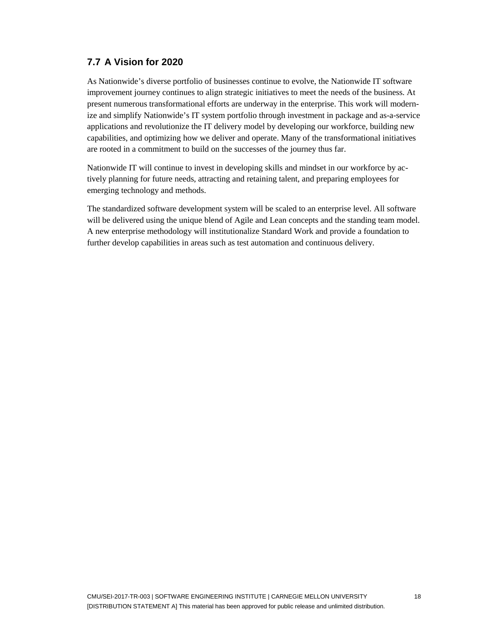#### <span id="page-25-0"></span>**7.7 A Vision for 2020**

As Nationwide's diverse portfolio of businesses continue to evolve, the Nationwide IT software improvement journey continues to align strategic initiatives to meet the needs of the business. At present numerous transformational efforts are underway in the enterprise. This work will modernize and simplify Nationwide's IT system portfolio through investment in package and as-a-service applications and revolutionize the IT delivery model by developing our workforce, building new capabilities, and optimizing how we deliver and operate. Many of the transformational initiatives are rooted in a commitment to build on the successes of the journey thus far.

Nationwide IT will continue to invest in developing skills and mindset in our workforce by actively planning for future needs, attracting and retaining talent, and preparing employees for emerging technology and methods.

The standardized software development system will be scaled to an enterprise level. All software will be delivered using the unique blend of Agile and Lean concepts and the standing team model. A new enterprise methodology will institutionalize Standard Work and provide a foundation to further develop capabilities in areas such as test automation and continuous delivery.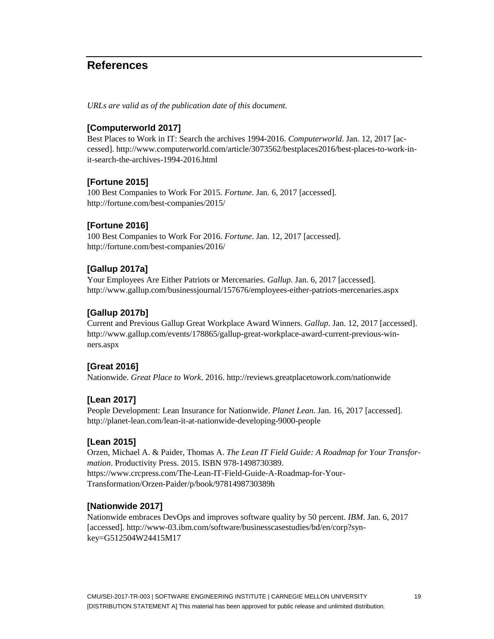## <span id="page-26-0"></span>**References**

*URLs are valid as of the publication date of this document.*

#### **[Computerworld 2017]**

Best Places to Work in IT: Search the archives 1994-2016. *Computerworld*. Jan. 12, 2017 [accessed]. [http://www.computerworld.com/article/3073562/bestplaces2016/best-places-to-work-in](http://www.computerworld.com/article/3073562/bestplaces2016/best-places-to-work-in-it-search-the-archives-1994-2016.html)[it-search-the-archives-1994-2016.html](http://www.computerworld.com/article/3073562/bestplaces2016/best-places-to-work-in-it-search-the-archives-1994-2016.html)

#### **[Fortune 2015]**

100 Best Companies to Work For 2015. *Fortune*. Jan. 6, 2017 [accessed]. <http://fortune.com/best-companies/2015/>

#### **[Fortune 2016]**

100 Best Companies to Work For 2016. *Fortune*. Jan. 12, 2017 [accessed]. <http://fortune.com/best-companies/2016/>

#### **[Gallup 2017a]**

Your Employees Are Either Patriots or Mercenaries. *Gallup*. Jan. 6, 2017 [accessed]. <http://www.gallup.com/businessjournal/157676/employees-either-patriots-mercenaries.aspx>

#### **[Gallup 2017b]**

Current and Previous Gallup Great Workplace Award Winners. *Gallup*. Jan. 12, 2017 [accessed]. [http://www.gallup.com/events/178865/gallup-great-workplace-award-current-previous-win](http://www.gallup.com/events/178865/gallup-great-workplace-award-current-previous-win-ners.aspx)[ners.aspx](http://www.gallup.com/events/178865/gallup-great-workplace-award-current-previous-win-ners.aspx)

#### **[Great 2016]**

Nationwide. *Great Place to Work*. 2016.<http://reviews.greatplacetowork.com/nationwide>

#### **[Lean 2017]**

People Development: Lean Insurance for Nationwide. *Planet Lean*. Jan. 16, 2017 [accessed]. <http://planet-lean.com/lean-it-at-nationwide-developing-9000-people>

#### **[Lean 2015]**

Orzen, Michael A. & Paider, Thomas A. *The Lean IT Field Guide: A Roadmap for Your Transformation*. Productivity Press. 2015. ISBN 978-1498730389. [https://www.crcpress.com/The-Lean-IT-Field-Guide-A-Roadmap-for-Your-](https://www.crcpress.com/The-Lean-IT-Field-Guide-A-Roadmap-for-Your-Transformation/Orzen-Paider/p/book/9781498730389h)[Transformation/Orzen-Paider/p/book/9781498730389h](https://www.crcpress.com/The-Lean-IT-Field-Guide-A-Roadmap-for-Your-Transformation/Orzen-Paider/p/book/9781498730389h)

#### **[Nationwide 2017]**

Nationwide embraces DevOps and improves software quality by 50 percent. *IBM*. Jan. 6, 2017 [accessed]. [http://www-03.ibm.com/software/businesscasestudies/bd/en/corp?syn](https://www.crcpress.com/The-Lean-IT-Field-Guide-A-Roadmap-for-Your-Transformation/Orzen-Paider/p/book/9781498730389h)[key=G512504W24415M17](https://www.crcpress.com/The-Lean-IT-Field-Guide-A-Roadmap-for-Your-Transformation/Orzen-Paider/p/book/9781498730389h)